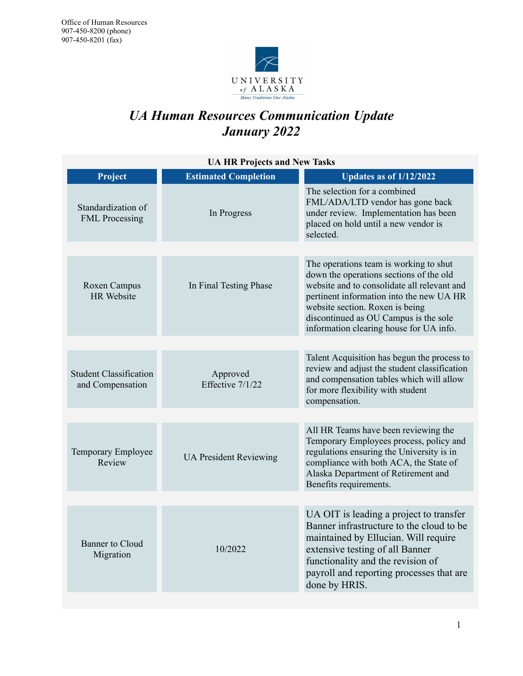

# *UA Human Resources Communication Update January 2022*

|                               | <b>Updates as of 1/12/2022</b>                                                                                                                                                                                                                                                                      |
|-------------------------------|-----------------------------------------------------------------------------------------------------------------------------------------------------------------------------------------------------------------------------------------------------------------------------------------------------|
| In Progress                   | The selection for a combined<br>FML/ADA/LTD vendor has gone back<br>under review. Implementation has been<br>placed on hold until a new vendor is<br>selected.                                                                                                                                      |
|                               |                                                                                                                                                                                                                                                                                                     |
| In Final Testing Phase        | The operations team is working to shut<br>down the operations sections of the old<br>website and to consolidate all relevant and<br>pertinent information into the new UA HR<br>website section. Roxen is being<br>discontinued as OU Campus is the sole<br>information clearing house for UA info. |
|                               |                                                                                                                                                                                                                                                                                                     |
| Approved<br>Effective 7/1/22  | Talent Acquisition has begun the process to<br>review and adjust the student classification<br>and compensation tables which will allow<br>for more flexibility with student<br>compensation.                                                                                                       |
|                               |                                                                                                                                                                                                                                                                                                     |
| <b>UA President Reviewing</b> | All HR Teams have been reviewing the<br>Temporary Employees process, policy and<br>regulations ensuring the University is in<br>compliance with both ACA, the State of<br>Alaska Department of Retirement and<br>Benefits requirements.                                                             |
|                               |                                                                                                                                                                                                                                                                                                     |
| 10/2022                       | UA OIT is leading a project to transfer<br>Banner infrastructure to the cloud to be<br>maintained by Ellucian. Will require<br>extensive testing of all Banner<br>functionality and the revision of<br>payroll and reporting processes that are<br>done by HRIS.                                    |
|                               | <b>Estimated Completion</b>                                                                                                                                                                                                                                                                         |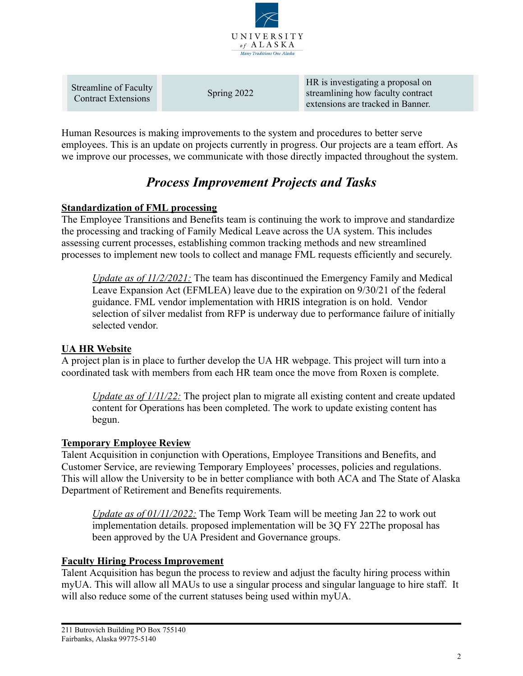

| Streamline of Faculty | HR is investigating a proposal on |
|-----------------------|-----------------------------------|
| Spring 2022           | streamlining how faculty contract |
| Contract Extensions   | extensions are tracked in Banner. |

Human Resources is making improvements to the system and procedures to better serve employees. This is an update on projects currently in progress. Our projects are a team effort. As we improve our processes, we communicate with those directly impacted throughout the system.

# *Process Improvement Projects and Tasks*

## **Standardization of FML processing**

The Employee Transitions and Benefits team is continuing the work to improve and standardize the processing and tracking of Family Medical Leave across the UA system. This includes assessing current processes, establishing common tracking methods and new streamlined processes to implement new tools to collect and manage FML requests efficiently and securely.

*Update as of 11/2/2021:* The team has discontinued the Emergency Family and Medical Leave Expansion Act (EFMLEA) leave due to the expiration on 9/30/21 of the federal guidance. FML vendor implementation with HRIS integration is on hold. Vendor selection of silver medalist from RFP is underway due to performance failure of initially selected vendor.

# **UA HR Website**

A project plan is in place to further develop the UA HR webpage. This project will turn into a coordinated task with members from each HR team once the move from Roxen is complete.

*Update as of 1/11/22:* The project plan to migrate all existing content and create updated content for Operations has been completed. The work to update existing content has begun.

## **Temporary Employee Review**

Talent Acquisition in conjunction with Operations, Employee Transitions and Benefits, and Customer Service, are reviewing Temporary Employees' processes, policies and regulations. This will allow the University to be in better compliance with both ACA and The State of Alaska Department of Retirement and Benefits requirements.

*Update as of 01/11/2022:* The Temp Work Team will be meeting Jan 22 to work out implementation details. proposed implementation will be 3Q FY 22The proposal has been approved by the UA President and Governance groups.

## **Faculty Hiring Process Improvement**

Talent Acquisition has begun the process to review and adjust the faculty hiring process within myUA. This will allow all MAUs to use a singular process and singular language to hire staff. It will also reduce some of the current statuses being used within myUA.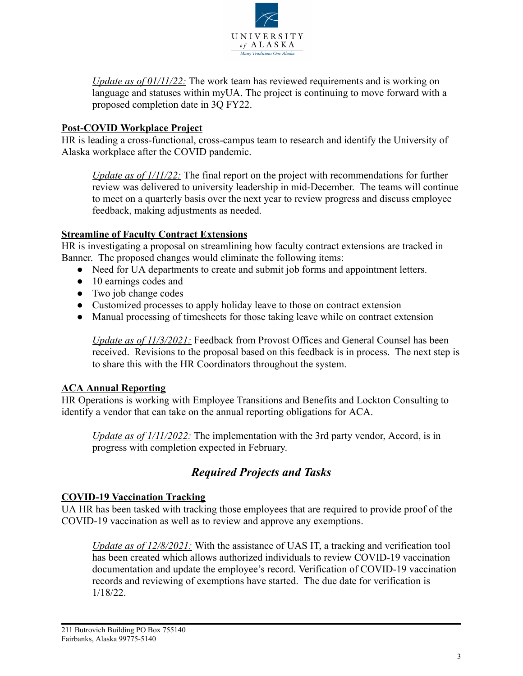

*Update as of 01/11/22:* The work team has reviewed requirements and is working on language and statuses within myUA. The project is continuing to move forward with a proposed completion date in 3Q FY22.

# **Post-COVID Workplace Project**

HR is leading a cross-functional, cross-campus team to research and identify the University of Alaska workplace after the COVID pandemic.

*Update as of 1/11/22:* The final report on the project with recommendations for further review was delivered to university leadership in mid-December. The teams will continue to meet on a quarterly basis over the next year to review progress and discuss employee feedback, making adjustments as needed.

# **Streamline of Faculty Contract Extensions**

HR is investigating a proposal on streamlining how faculty contract extensions are tracked in Banner. The proposed changes would eliminate the following items:

- Need for UA departments to create and submit job forms and appointment letters.
- 10 earnings codes and
- Two job change codes
- Customized processes to apply holiday leave to those on contract extension
- Manual processing of timesheets for those taking leave while on contract extension

*Update as of 11/3/2021:* Feedback from Provost Offices and General Counsel has been received. Revisions to the proposal based on this feedback is in process. The next step is to share this with the HR Coordinators throughout the system.

# **ACA Annual Reporting**

HR Operations is working with Employee Transitions and Benefits and Lockton Consulting to identify a vendor that can take on the annual reporting obligations for ACA.

*Update as of 1/11/2022:* The implementation with the 3rd party vendor, Accord, is in progress with completion expected in February.

# *Required Projects and Tasks*

## **COVID-19 Vaccination Tracking**

UA HR has been tasked with tracking those employees that are required to provide proof of the COVID-19 vaccination as well as to review and approve any exemptions.

*Update as of 12/8/2021:* With the assistance of UAS IT, a tracking and verification tool has been created which allows authorized individuals to review COVID-19 vaccination documentation and update the employee's record. Verification of COVID-19 vaccination records and reviewing of exemptions have started. The due date for verification is 1/18/22.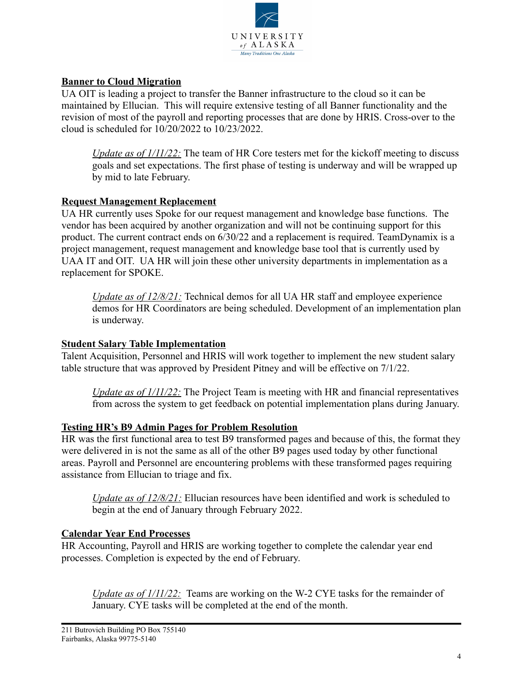

# **Banner to Cloud Migration**

UA OIT is leading a project to transfer the Banner infrastructure to the cloud so it can be maintained by Ellucian. This will require extensive testing of all Banner functionality and the revision of most of the payroll and reporting processes that are done by HRIS. Cross-over to the cloud is scheduled for 10/20/2022 to 10/23/2022.

*Update as of 1/11/22:* The team of HR Core testers met for the kickoff meeting to discuss goals and set expectations. The first phase of testing is underway and will be wrapped up by mid to late February.

# **Request Management Replacement**

UA HR currently uses Spoke for our request management and knowledge base functions. The vendor has been acquired by another organization and will not be continuing support for this product. The current contract ends on 6/30/22 and a replacement is required. TeamDynamix is a project management, request management and knowledge base tool that is currently used by UAA IT and OIT. UA HR will join these other university departments in implementation as a replacement for SPOKE.

*Update as of 12/8/21:* Technical demos for all UA HR staff and employee experience demos for HR Coordinators are being scheduled. Development of an implementation plan is underway.

## **Student Salary Table Implementation**

Talent Acquisition, Personnel and HRIS will work together to implement the new student salary table structure that was approved by President Pitney and will be effective on 7/1/22.

*Update as of*  $1/11/22$ *:* The Project Team is meeting with HR and financial representatives from across the system to get feedback on potential implementation plans during January.

## **Testing HR's B9 Admin Pages for Problem Resolution**

HR was the first functional area to test B9 transformed pages and because of this, the format they were delivered in is not the same as all of the other B9 pages used today by other functional areas. Payroll and Personnel are encountering problems with these transformed pages requiring assistance from Ellucian to triage and fix.

*Update as of 12/8/21:* Ellucian resources have been identified and work is scheduled to begin at the end of January through February 2022.

## **Calendar Year End Processes**

HR Accounting, Payroll and HRIS are working together to complete the calendar year end processes. Completion is expected by the end of February.

*Update as of 1/11/22:* Teams are working on the W-2 CYE tasks for the remainder of January. CYE tasks will be completed at the end of the month.